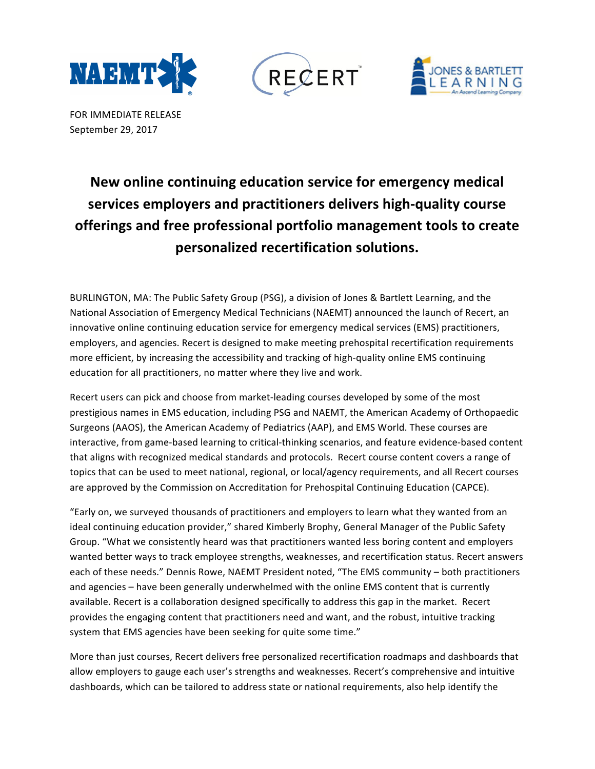





FOR IMMEDIATE RELEASE September 29, 2017

## New online continuing education service for emergency medical services employers and practitioners delivers high-quality course offerings and free professional portfolio management tools to create **personalized recertification solutions.**

BURLINGTON, MA: The Public Safety Group (PSG), a division of Jones & Bartlett Learning, and the National Association of Emergency Medical Technicians (NAEMT) announced the launch of Recert, an innovative online continuing education service for emergency medical services (EMS) practitioners, employers, and agencies. Recert is designed to make meeting prehospital recertification requirements more efficient, by increasing the accessibility and tracking of high-quality online EMS continuing education for all practitioners, no matter where they live and work.

Recert users can pick and choose from market-leading courses developed by some of the most prestigious names in EMS education, including PSG and NAEMT, the American Academy of Orthopaedic Surgeons (AAOS), the American Academy of Pediatrics (AAP), and EMS World. These courses are interactive, from game-based learning to critical-thinking scenarios, and feature evidence-based content that aligns with recognized medical standards and protocols. Recert course content covers a range of topics that can be used to meet national, regional, or local/agency requirements, and all Recert courses are approved by the Commission on Accreditation for Prehospital Continuing Education (CAPCE).

"Early on, we surveyed thousands of practitioners and employers to learn what they wanted from an ideal continuing education provider," shared Kimberly Brophy, General Manager of the Public Safety Group. "What we consistently heard was that practitioners wanted less boring content and employers wanted better ways to track employee strengths, weaknesses, and recertification status. Recert answers each of these needs." Dennis Rowe, NAEMT President noted, "The EMS community - both practitioners and agencies - have been generally underwhelmed with the online EMS content that is currently available. Recert is a collaboration designed specifically to address this gap in the market. Recert provides the engaging content that practitioners need and want, and the robust, intuitive tracking system that EMS agencies have been seeking for quite some time."

More than just courses, Recert delivers free personalized recertification roadmaps and dashboards that allow employers to gauge each user's strengths and weaknesses. Recert's comprehensive and intuitive dashboards, which can be tailored to address state or national requirements, also help identify the